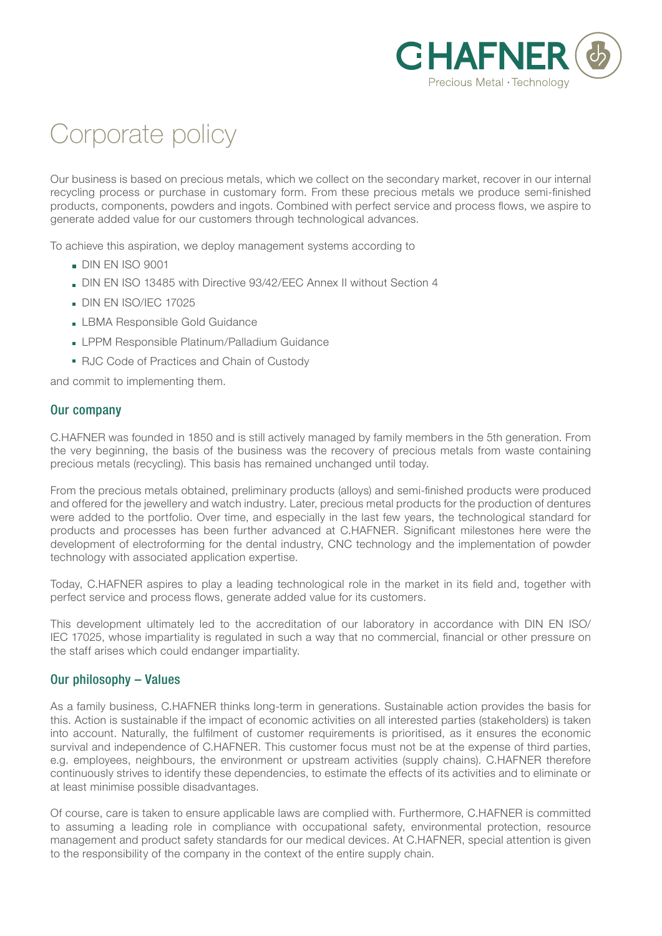

# Corporate policy

Our business is based on precious metals, which we collect on the secondary market, recover in our internal recycling process or purchase in customary form. From these precious metals we produce semi-finished products, components, powders and ingots. Combined with perfect service and process flows, we aspire to generate added value for our customers through technological advances.

To achieve this aspiration, we deploy management systems according to

- **DIN EN ISO 9001**
- DIN EN ISO 13485 with Directive 93/42/EEC Annex II without Section 4
- DIN EN ISO/IEC 17025
- **LBMA Responsible Gold Guidance**
- **LPPM Responsible Platinum/Palladium Guidance**
- RJC Code of Practices and Chain of Custody

and commit to implementing them.

### Our company

C.HAFNER was founded in 1850 and is still actively managed by family members in the 5th generation. From the very beginning, the basis of the business was the recovery of precious metals from waste containing precious metals (recycling). This basis has remained unchanged until today.

From the precious metals obtained, preliminary products (alloys) and semi-finished products were produced and offered for the jewellery and watch industry. Later, precious metal products for the production of dentures were added to the portfolio. Over time, and especially in the last few years, the technological standard for products and processes has been further advanced at C.HAFNER. Significant milestones here were the development of electroforming for the dental industry, CNC technology and the implementation of powder technology with associated application expertise.

Today, C.HAFNER aspires to play a leading technological role in the market in its field and, together with perfect service and process flows, generate added value for its customers.

This development ultimately led to the accreditation of our laboratory in accordance with DIN EN ISO/ IEC 17025, whose impartiality is regulated in such a way that no commercial, financial or other pressure on the staff arises which could endanger impartiality.

## Our philosophy – Values

As a family business, C.HAFNER thinks long-term in generations. Sustainable action provides the basis for this. Action is sustainable if the impact of economic activities on all interested parties (stakeholders) is taken into account. Naturally, the fulfilment of customer requirements is prioritised, as it ensures the economic survival and independence of C.HAFNER. This customer focus must not be at the expense of third parties, e.g. employees, neighbours, the environment or upstream activities (supply chains). C.HAFNER therefore continuously strives to identify these dependencies, to estimate the effects of its activities and to eliminate or at least minimise possible disadvantages.

Of course, care is taken to ensure applicable laws are complied with. Furthermore, C.HAFNER is committed to assuming a leading role in compliance with occupational safety, environmental protection, resource management and product safety standards for our medical devices. At C.HAFNER, special attention is given to the responsibility of the company in the context of the entire supply chain.